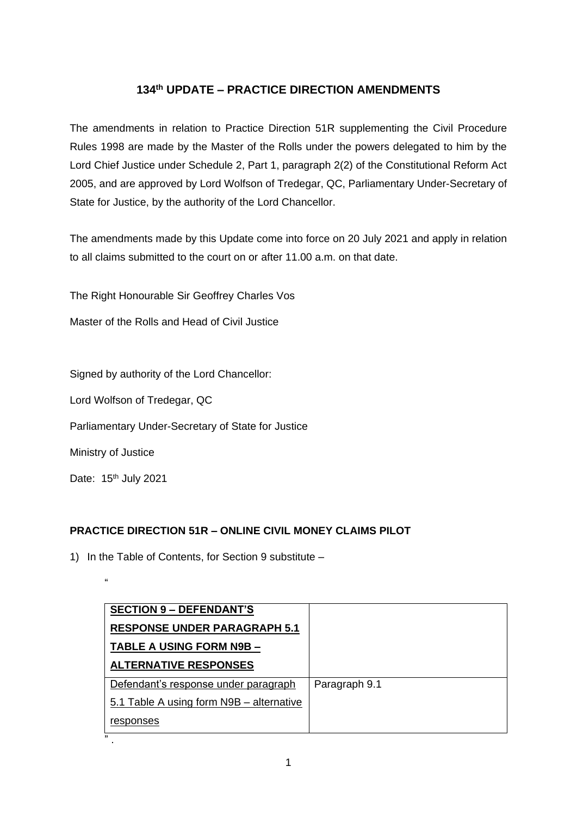## **134th UPDATE – PRACTICE DIRECTION AMENDMENTS**

The amendments in relation to Practice Direction 51R supplementing the Civil Procedure Rules 1998 are made by the Master of the Rolls under the powers delegated to him by the Lord Chief Justice under Schedule 2, Part 1, paragraph 2(2) of the Constitutional Reform Act 2005, and are approved by Lord Wolfson of Tredegar, QC, Parliamentary Under-Secretary of State for Justice, by the authority of the Lord Chancellor.

The amendments made by this Update come into force on 20 July 2021 and apply in relation to all claims submitted to the court on or after 11.00 a.m. on that date.

The Right Honourable Sir Geoffrey Charles Vos

Master of the Rolls and Head of Civil Justice

Signed by authority of the Lord Chancellor:

Lord Wolfson of Tredegar, QC

Parliamentary Under-Secretary of State for Justice

Ministry of Justice

"

Date: 15<sup>th</sup> July 2021

## **PRACTICE DIRECTION 51R – ONLINE CIVIL MONEY CLAIMS PILOT**

1) In the Table of Contents, for Section 9 substitute –

| <b>SECTION 9 - DEFENDANT'S</b>           |               |
|------------------------------------------|---------------|
| <b>RESPONSE UNDER PARAGRAPH 5.1</b>      |               |
| <b>TABLE A USING FORM N9B -</b>          |               |
| <b>ALTERNATIVE RESPONSES</b>             |               |
| Defendant's response under paragraph     | Paragraph 9.1 |
| 5.1 Table A using form N9B - alternative |               |
| responses                                |               |
| ,,                                       |               |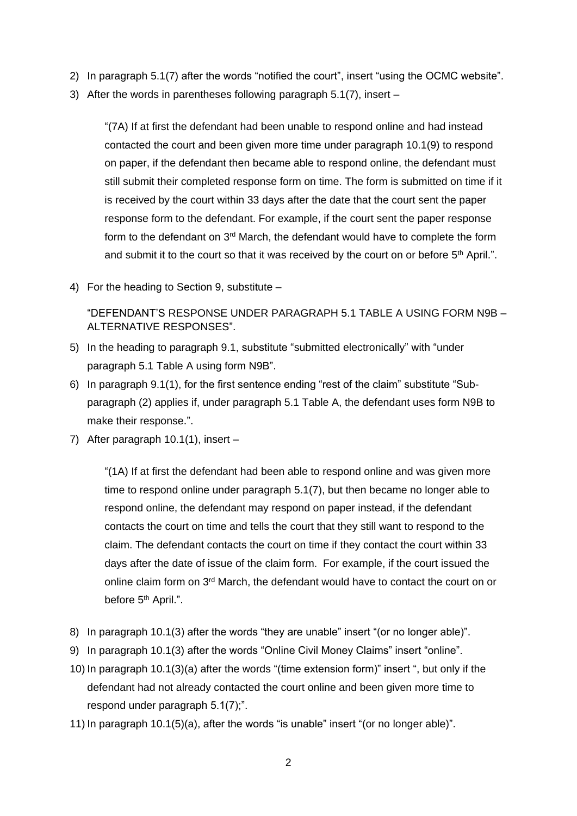- 2) In paragraph 5.1(7) after the words "notified the court", insert "using the OCMC website".
- 3) After the words in parentheses following paragraph 5.1(7), insert –

"(7A) If at first the defendant had been unable to respond online and had instead contacted the court and been given more time under paragraph 10.1(9) to respond on paper, if the defendant then became able to respond online, the defendant must still submit their completed response form on time. The form is submitted on time if it is received by the court within 33 days after the date that the court sent the paper response form to the defendant. For example, if the court sent the paper response form to the defendant on  $3<sup>rd</sup>$  March, the defendant would have to complete the form and submit it to the court so that it was received by the court on or before 5<sup>th</sup> April.".

4) For the heading to Section 9, substitute –

"DEFENDANT'S RESPONSE UNDER PARAGRAPH 5.1 TABLE A USING FORM N9B – ALTERNATIVE RESPONSES".

- 5) In the heading to paragraph 9.1, substitute "submitted electronically" with "under paragraph 5.1 Table A using form N9B".
- 6) In paragraph 9.1(1), for the first sentence ending "rest of the claim" substitute "Subparagraph (2) applies if, under paragraph 5.1 Table A, the defendant uses form N9B to make their response.".
- 7) After paragraph 10.1(1), insert –

"(1A) If at first the defendant had been able to respond online and was given more time to respond online under paragraph 5.1(7), but then became no longer able to respond online, the defendant may respond on paper instead, if the defendant contacts the court on time and tells the court that they still want to respond to the claim. The defendant contacts the court on time if they contact the court within 33 days after the date of issue of the claim form. For example, if the court issued the online claim form on  $3<sup>rd</sup>$  March, the defendant would have to contact the court on or before 5<sup>th</sup> April.".

- 8) In paragraph 10.1(3) after the words "they are unable" insert "(or no longer able)".
- 9) In paragraph 10.1(3) after the words "Online Civil Money Claims" insert "online".
- 10) In paragraph 10.1(3)(a) after the words "(time extension form)" insert ", but only if the defendant had not already contacted the court online and been given more time to respond under paragraph 5.1(7);".
- 11) In paragraph 10.1(5)(a), after the words "is unable" insert "(or no longer able)".